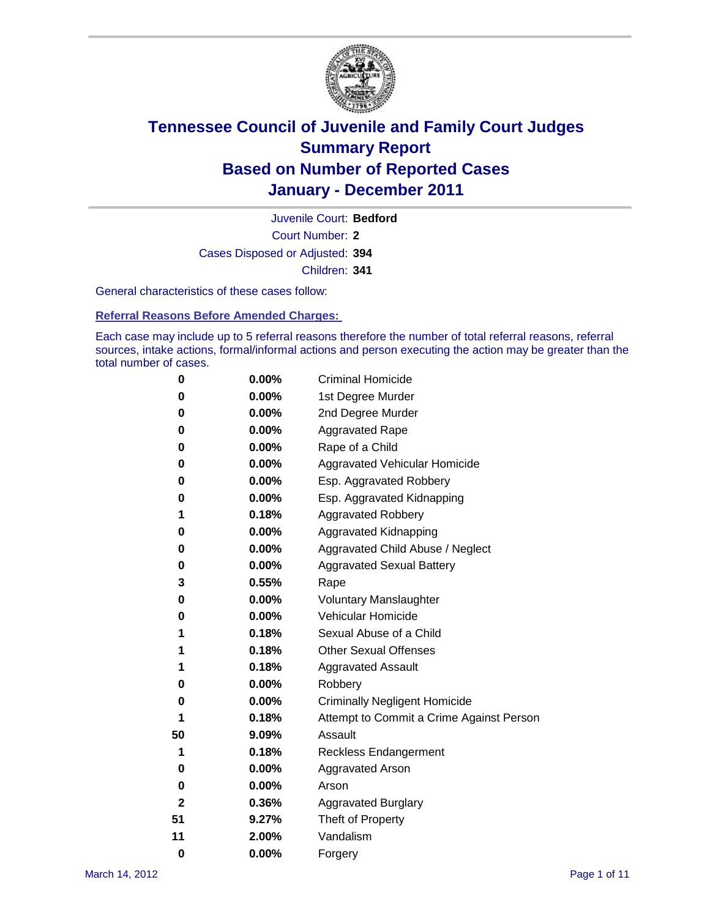

Court Number: **2** Juvenile Court: **Bedford** Cases Disposed or Adjusted: **394** Children: **341**

General characteristics of these cases follow:

**Referral Reasons Before Amended Charges:** 

Each case may include up to 5 referral reasons therefore the number of total referral reasons, referral sources, intake actions, formal/informal actions and person executing the action may be greater than the total number of cases.

| 0  | 0.00%    | <b>Criminal Homicide</b>                 |
|----|----------|------------------------------------------|
| 0  | 0.00%    | 1st Degree Murder                        |
| 0  | 0.00%    | 2nd Degree Murder                        |
| 0  | 0.00%    | <b>Aggravated Rape</b>                   |
| 0  | 0.00%    | Rape of a Child                          |
| 0  | 0.00%    | Aggravated Vehicular Homicide            |
| 0  | 0.00%    | Esp. Aggravated Robbery                  |
| 0  | 0.00%    | Esp. Aggravated Kidnapping               |
| 1  | 0.18%    | <b>Aggravated Robbery</b>                |
| 0  | 0.00%    | Aggravated Kidnapping                    |
| 0  | 0.00%    | Aggravated Child Abuse / Neglect         |
| 0  | $0.00\%$ | <b>Aggravated Sexual Battery</b>         |
| 3  | 0.55%    | Rape                                     |
| 0  | $0.00\%$ | <b>Voluntary Manslaughter</b>            |
| 0  | 0.00%    | Vehicular Homicide                       |
| 1  | 0.18%    | Sexual Abuse of a Child                  |
| 1  | 0.18%    | <b>Other Sexual Offenses</b>             |
| 1  | 0.18%    | <b>Aggravated Assault</b>                |
| 0  | $0.00\%$ | Robbery                                  |
| 0  | 0.00%    | <b>Criminally Negligent Homicide</b>     |
| 1  | 0.18%    | Attempt to Commit a Crime Against Person |
| 50 | 9.09%    | Assault                                  |
| 1  | 0.18%    | <b>Reckless Endangerment</b>             |
| 0  | 0.00%    | <b>Aggravated Arson</b>                  |
| 0  | 0.00%    | Arson                                    |
| 2  | 0.36%    | <b>Aggravated Burglary</b>               |
| 51 | 9.27%    | Theft of Property                        |
| 11 | 2.00%    | Vandalism                                |
| 0  | 0.00%    | Forgery                                  |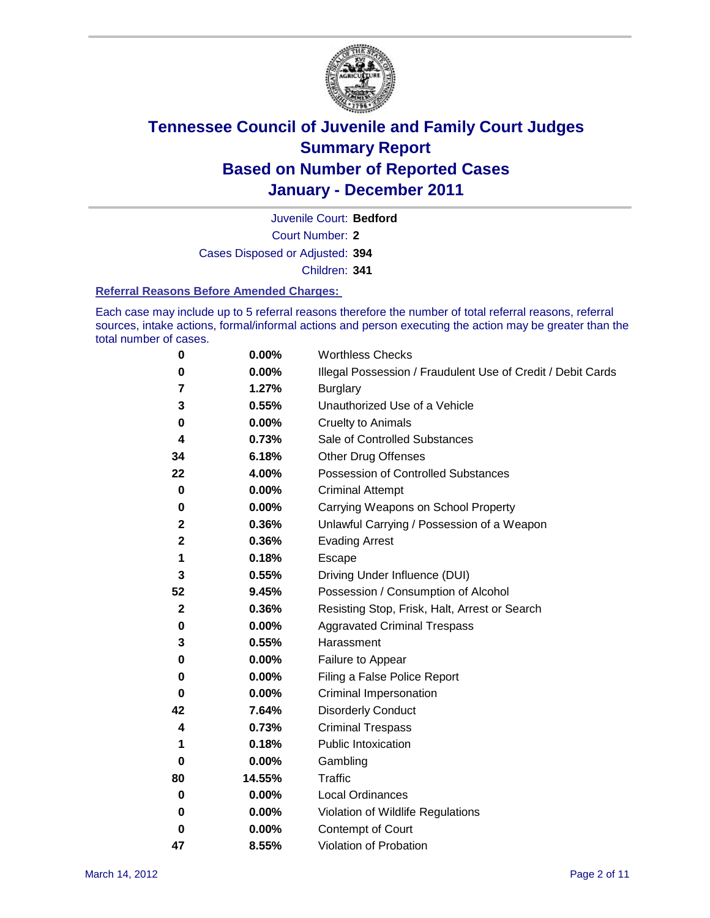

Court Number: **2** Juvenile Court: **Bedford** Cases Disposed or Adjusted: **394**

Children: **341**

#### **Referral Reasons Before Amended Charges:**

Each case may include up to 5 referral reasons therefore the number of total referral reasons, referral sources, intake actions, formal/informal actions and person executing the action may be greater than the total number of cases.

| 0           | 0.00%  | <b>Worthless Checks</b>                                     |  |  |  |
|-------------|--------|-------------------------------------------------------------|--|--|--|
| 0           | 0.00%  | Illegal Possession / Fraudulent Use of Credit / Debit Cards |  |  |  |
| 7           | 1.27%  | <b>Burglary</b>                                             |  |  |  |
| 3           | 0.55%  | Unauthorized Use of a Vehicle                               |  |  |  |
| 0           | 0.00%  | <b>Cruelty to Animals</b>                                   |  |  |  |
| 4           | 0.73%  | Sale of Controlled Substances                               |  |  |  |
| 34          | 6.18%  | <b>Other Drug Offenses</b>                                  |  |  |  |
| 22          | 4.00%  | Possession of Controlled Substances                         |  |  |  |
| 0           | 0.00%  | <b>Criminal Attempt</b>                                     |  |  |  |
| 0           | 0.00%  | Carrying Weapons on School Property                         |  |  |  |
| 2           | 0.36%  | Unlawful Carrying / Possession of a Weapon                  |  |  |  |
| 2           | 0.36%  | <b>Evading Arrest</b>                                       |  |  |  |
| 1           | 0.18%  | Escape                                                      |  |  |  |
| 3           | 0.55%  | Driving Under Influence (DUI)                               |  |  |  |
| 52          | 9.45%  | Possession / Consumption of Alcohol                         |  |  |  |
| $\mathbf 2$ | 0.36%  | Resisting Stop, Frisk, Halt, Arrest or Search               |  |  |  |
| 0           | 0.00%  | <b>Aggravated Criminal Trespass</b>                         |  |  |  |
| 3           | 0.55%  | Harassment                                                  |  |  |  |
| 0           | 0.00%  | Failure to Appear                                           |  |  |  |
| 0           | 0.00%  | Filing a False Police Report                                |  |  |  |
| 0           | 0.00%  | Criminal Impersonation                                      |  |  |  |
| 42          | 7.64%  | <b>Disorderly Conduct</b>                                   |  |  |  |
| 4           | 0.73%  | <b>Criminal Trespass</b>                                    |  |  |  |
| 1           | 0.18%  | <b>Public Intoxication</b>                                  |  |  |  |
| 0           | 0.00%  | Gambling                                                    |  |  |  |
| 80          | 14.55% | <b>Traffic</b>                                              |  |  |  |
| 0           | 0.00%  | <b>Local Ordinances</b>                                     |  |  |  |
| 0           | 0.00%  | Violation of Wildlife Regulations                           |  |  |  |
| 0           | 0.00%  | Contempt of Court                                           |  |  |  |
| 47          | 8.55%  | Violation of Probation                                      |  |  |  |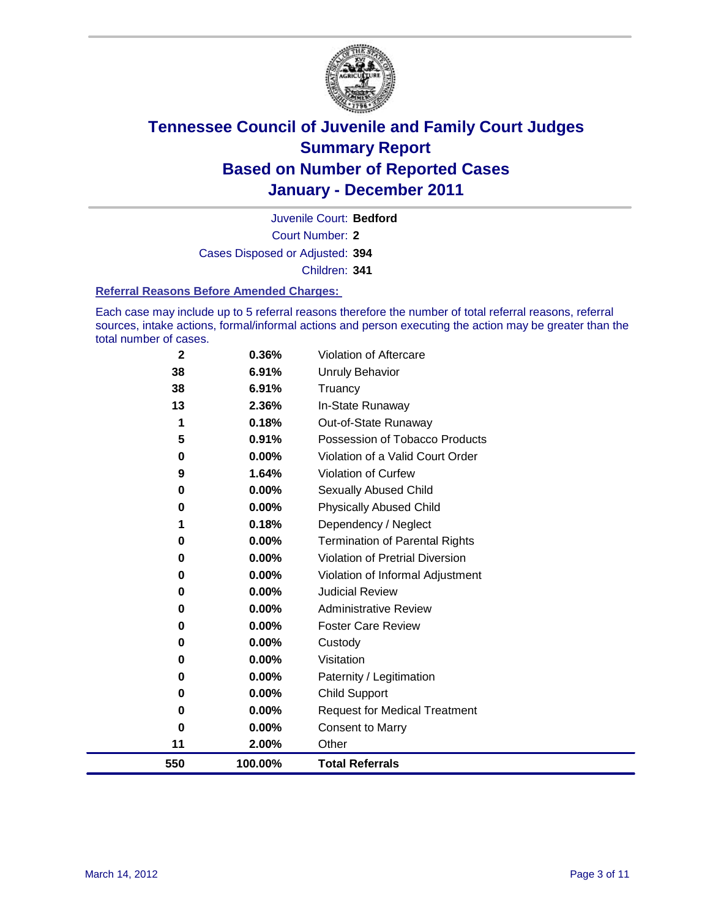

Court Number: **2** Juvenile Court: **Bedford** Cases Disposed or Adjusted: **394** Children: **341**

#### **Referral Reasons Before Amended Charges:**

Each case may include up to 5 referral reasons therefore the number of total referral reasons, referral sources, intake actions, formal/informal actions and person executing the action may be greater than the total number of cases.

| 0<br>0<br>0<br>0<br>0<br>0<br>0<br>11 | 0.00%<br>$0.00\%$<br>0.00%<br>$0.00\%$<br>0.00%<br>$0.00\%$<br>$0.00\%$<br>2.00% | <b>Foster Care Review</b><br>Custody<br>Visitation<br>Paternity / Legitimation<br><b>Child Support</b><br><b>Request for Medical Treatment</b><br><b>Consent to Marry</b><br>Other |
|---------------------------------------|----------------------------------------------------------------------------------|------------------------------------------------------------------------------------------------------------------------------------------------------------------------------------|
|                                       |                                                                                  |                                                                                                                                                                                    |
|                                       |                                                                                  |                                                                                                                                                                                    |
|                                       |                                                                                  |                                                                                                                                                                                    |
|                                       |                                                                                  |                                                                                                                                                                                    |
|                                       |                                                                                  |                                                                                                                                                                                    |
|                                       |                                                                                  |                                                                                                                                                                                    |
|                                       |                                                                                  |                                                                                                                                                                                    |
|                                       |                                                                                  |                                                                                                                                                                                    |
| 0                                     | $0.00\%$                                                                         | <b>Administrative Review</b>                                                                                                                                                       |
| 0                                     | $0.00\%$                                                                         | <b>Judicial Review</b>                                                                                                                                                             |
| 0                                     | 0.00%                                                                            | Violation of Informal Adjustment                                                                                                                                                   |
| 0                                     | 0.00%                                                                            | <b>Violation of Pretrial Diversion</b>                                                                                                                                             |
| 0                                     |                                                                                  | <b>Termination of Parental Rights</b>                                                                                                                                              |
|                                       |                                                                                  | Dependency / Neglect                                                                                                                                                               |
|                                       |                                                                                  | <b>Physically Abused Child</b>                                                                                                                                                     |
|                                       |                                                                                  | Sexually Abused Child                                                                                                                                                              |
|                                       |                                                                                  | Violation of Curfew                                                                                                                                                                |
|                                       |                                                                                  | Violation of a Valid Court Order                                                                                                                                                   |
|                                       |                                                                                  | Possession of Tobacco Products                                                                                                                                                     |
|                                       |                                                                                  | In-State Runaway<br>Out-of-State Runaway                                                                                                                                           |
|                                       |                                                                                  | Truancy                                                                                                                                                                            |
|                                       |                                                                                  | <b>Unruly Behavior</b>                                                                                                                                                             |
|                                       | 0.36%                                                                            | Violation of Aftercare                                                                                                                                                             |
|                                       | $\mathbf{2}$<br>38<br>38<br>13<br>1<br>5<br>0<br>9<br>0<br>0                     | 6.91%<br>6.91%<br>2.36%<br>0.18%<br>0.91%<br>0.00%<br>1.64%<br>0.00%<br>0.00%<br>0.18%<br>0.00%                                                                                    |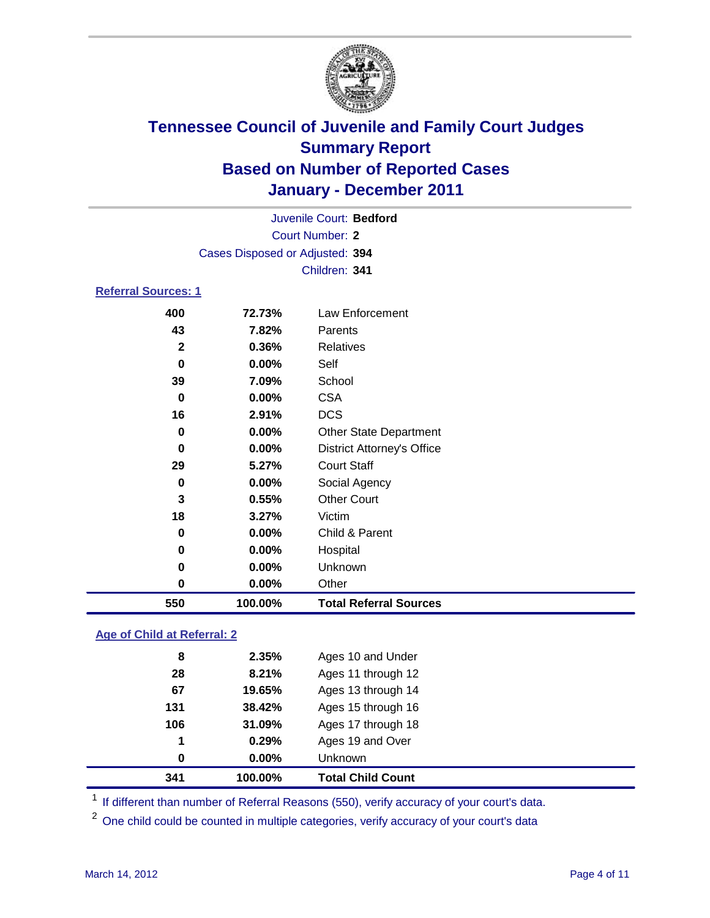

| Juvenile Court: Bedford         |               |                                   |  |  |  |  |
|---------------------------------|---------------|-----------------------------------|--|--|--|--|
| <b>Court Number: 2</b>          |               |                                   |  |  |  |  |
| Cases Disposed or Adjusted: 394 |               |                                   |  |  |  |  |
|                                 | Children: 341 |                                   |  |  |  |  |
| <b>Referral Sources: 1</b>      |               |                                   |  |  |  |  |
| 400                             | 72.73%        | <b>Law Enforcement</b>            |  |  |  |  |
| 43                              | 7.82%         | Parents                           |  |  |  |  |
| $\mathbf{2}$                    | 0.36%         | <b>Relatives</b>                  |  |  |  |  |
| $\bf{0}$                        | 0.00%         | Self                              |  |  |  |  |
| 39                              | 7.09%         | School                            |  |  |  |  |
| 0                               | $0.00\%$      | <b>CSA</b>                        |  |  |  |  |
| 16                              | 2.91%         | <b>DCS</b>                        |  |  |  |  |
| 0                               | $0.00\%$      | <b>Other State Department</b>     |  |  |  |  |
| 0                               | $0.00\%$      | <b>District Attorney's Office</b> |  |  |  |  |
| 29                              | 5.27%         | <b>Court Staff</b>                |  |  |  |  |
| 0                               | 0.00%         | Social Agency                     |  |  |  |  |
| 3                               | 0.55%         | <b>Other Court</b>                |  |  |  |  |
| 18                              | 3.27%         | Victim                            |  |  |  |  |
| 0                               | 0.00%         | Child & Parent                    |  |  |  |  |
| 0                               | 0.00%         | Hospital                          |  |  |  |  |
| 0                               | 0.00%         | Unknown                           |  |  |  |  |
| 0                               | 0.00%         | Other                             |  |  |  |  |

### **Age of Child at Referral: 2**

| 341 | 100.00%  | <b>Total Child Count</b> |
|-----|----------|--------------------------|
| 0   | $0.00\%$ | Unknown                  |
| 1   | 0.29%    | Ages 19 and Over         |
| 106 | 31.09%   | Ages 17 through 18       |
| 131 | 38.42%   | Ages 15 through 16       |
| 67  | 19.65%   | Ages 13 through 14       |
| 28  | 8.21%    | Ages 11 through 12       |
| 8   | 2.35%    | Ages 10 and Under        |
|     |          |                          |

<sup>1</sup> If different than number of Referral Reasons (550), verify accuracy of your court's data.

**100.00% Total Referral Sources**

<sup>2</sup> One child could be counted in multiple categories, verify accuracy of your court's data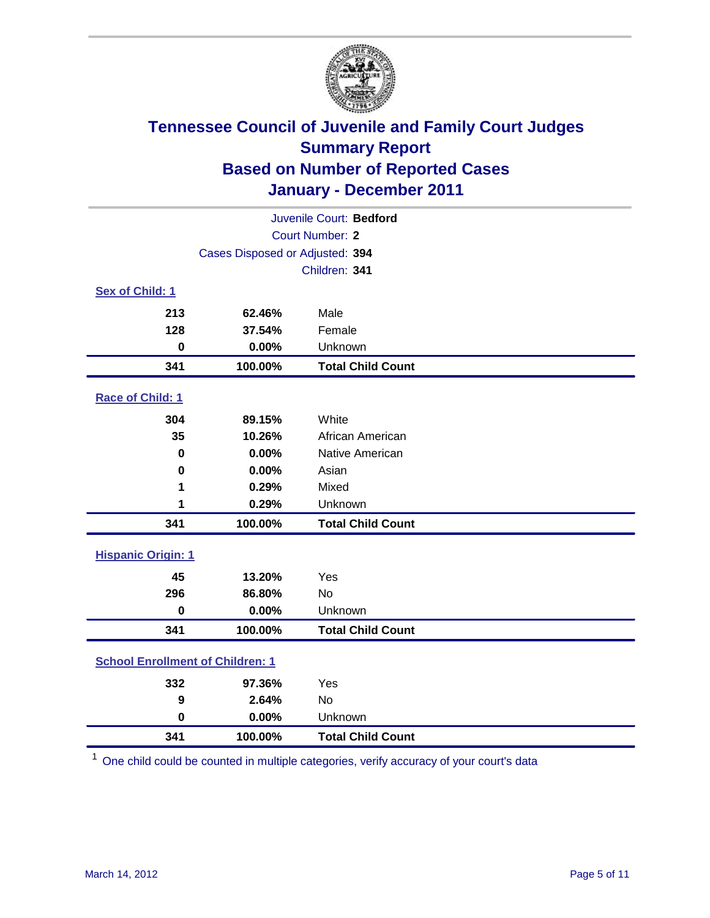

| Juvenile Court: Bedford                 |                                 |                          |  |  |  |
|-----------------------------------------|---------------------------------|--------------------------|--|--|--|
| <b>Court Number: 2</b>                  |                                 |                          |  |  |  |
|                                         | Cases Disposed or Adjusted: 394 |                          |  |  |  |
|                                         |                                 | Children: 341            |  |  |  |
| Sex of Child: 1                         |                                 |                          |  |  |  |
| 213                                     | 62.46%                          | Male                     |  |  |  |
| 128                                     | 37.54%                          | Female                   |  |  |  |
| $\bf{0}$                                | 0.00%                           | Unknown                  |  |  |  |
| 341                                     | 100.00%                         | <b>Total Child Count</b> |  |  |  |
| Race of Child: 1                        |                                 |                          |  |  |  |
| 304                                     | 89.15%                          | White                    |  |  |  |
| 35                                      | 10.26%                          | African American         |  |  |  |
| $\mathbf 0$                             | 0.00%                           | Native American          |  |  |  |
| 0                                       | 0.00%                           | Asian                    |  |  |  |
| 1                                       | 0.29%                           | Mixed                    |  |  |  |
| 1                                       | 0.29%                           | Unknown                  |  |  |  |
| 341                                     | 100.00%                         | <b>Total Child Count</b> |  |  |  |
| <b>Hispanic Origin: 1</b>               |                                 |                          |  |  |  |
| 45                                      | 13.20%                          | Yes                      |  |  |  |
| 296                                     | 86.80%                          | No                       |  |  |  |
| $\mathbf 0$                             | 0.00%                           | Unknown                  |  |  |  |
| 341                                     | 100.00%                         | <b>Total Child Count</b> |  |  |  |
| <b>School Enrollment of Children: 1</b> |                                 |                          |  |  |  |
| 332                                     | 97.36%                          | Yes                      |  |  |  |
| 9                                       | 2.64%                           | <b>No</b>                |  |  |  |
| $\mathbf 0$                             | 0.00%                           | Unknown                  |  |  |  |
| 341                                     | 100.00%                         | <b>Total Child Count</b> |  |  |  |

One child could be counted in multiple categories, verify accuracy of your court's data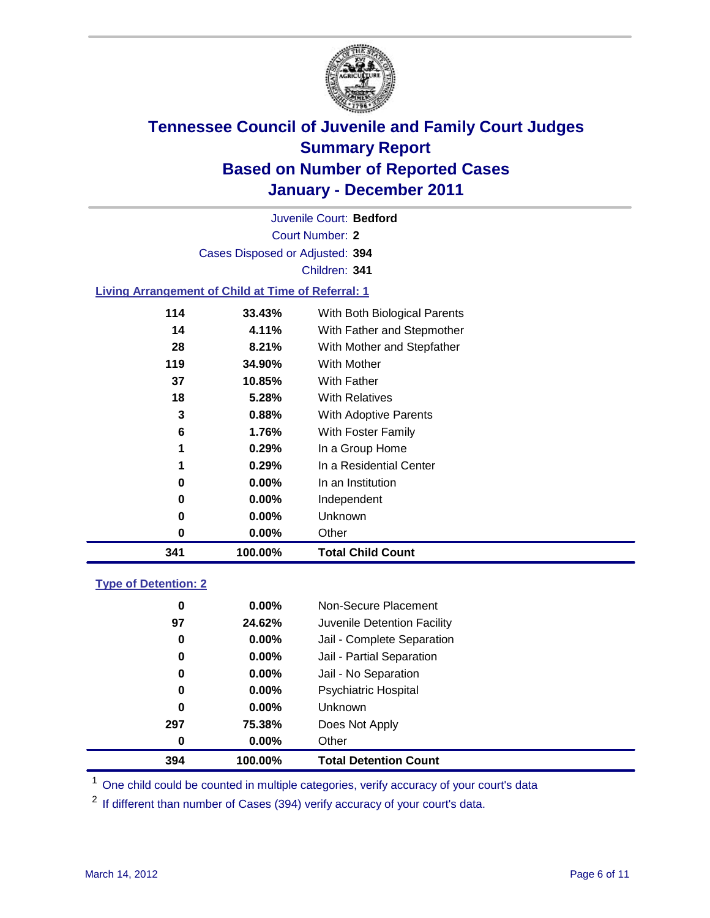

Court Number: **2** Juvenile Court: **Bedford** Cases Disposed or Adjusted: **394** Children: **341**

#### **Living Arrangement of Child at Time of Referral: 1**

| 341 | 100.00%  | <b>Total Child Count</b>     |
|-----|----------|------------------------------|
| 0   | $0.00\%$ | Other                        |
| 0   | $0.00\%$ | Unknown                      |
| 0   | $0.00\%$ | Independent                  |
| 0   | $0.00\%$ | In an Institution            |
| 1   | 0.29%    | In a Residential Center      |
| 1   | 0.29%    | In a Group Home              |
| 6   | 1.76%    | With Foster Family           |
| 3   | 0.88%    | With Adoptive Parents        |
| 18  | 5.28%    | <b>With Relatives</b>        |
| 37  | 10.85%   | With Father                  |
| 119 | 34.90%   | With Mother                  |
| 28  | 8.21%    | With Mother and Stepfather   |
| 14  | 4.11%    | With Father and Stepmother   |
| 114 | 33.43%   | With Both Biological Parents |
|     |          |                              |

#### **Type of Detention: 2**

| 394 | 100.00%  | <b>Total Detention Count</b> |  |
|-----|----------|------------------------------|--|
| 0   | $0.00\%$ | Other                        |  |
| 297 | 75.38%   | Does Not Apply               |  |
| 0   | $0.00\%$ | <b>Unknown</b>               |  |
| 0   | $0.00\%$ | <b>Psychiatric Hospital</b>  |  |
| 0   | 0.00%    | Jail - No Separation         |  |
| 0   | $0.00\%$ | Jail - Partial Separation    |  |
| 0   | $0.00\%$ | Jail - Complete Separation   |  |
| 97  | 24.62%   | Juvenile Detention Facility  |  |
| 0   | $0.00\%$ | Non-Secure Placement         |  |
|     |          |                              |  |

<sup>1</sup> One child could be counted in multiple categories, verify accuracy of your court's data

<sup>2</sup> If different than number of Cases (394) verify accuracy of your court's data.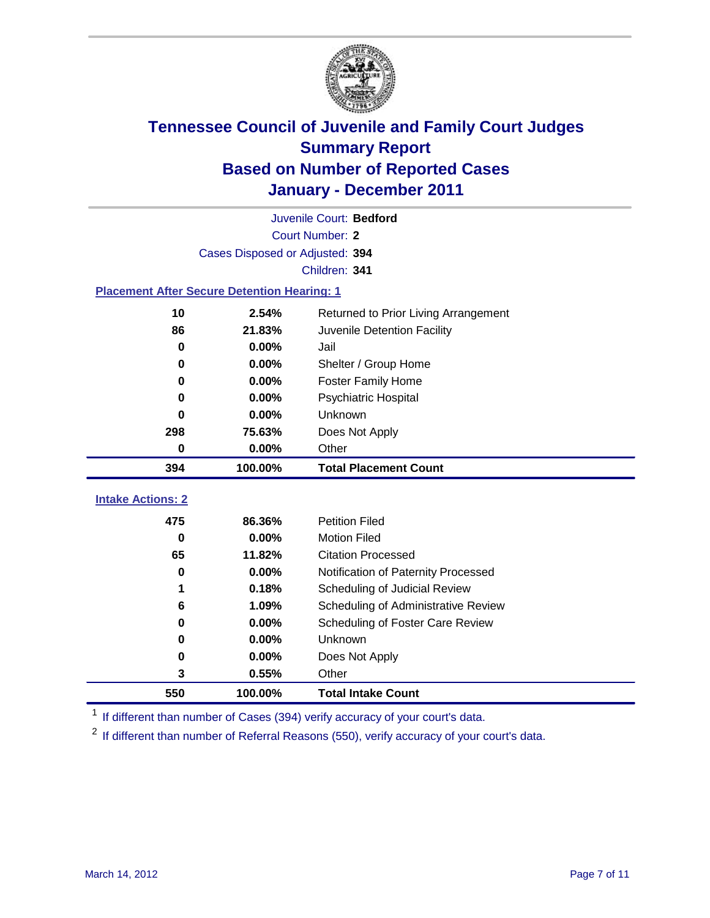

|                                                    | Juvenile Court: Bedford         |                                      |  |  |  |
|----------------------------------------------------|---------------------------------|--------------------------------------|--|--|--|
|                                                    | Court Number: 2                 |                                      |  |  |  |
|                                                    | Cases Disposed or Adjusted: 394 |                                      |  |  |  |
|                                                    | Children: 341                   |                                      |  |  |  |
| <b>Placement After Secure Detention Hearing: 1</b> |                                 |                                      |  |  |  |
| 10                                                 | 2.54%                           | Returned to Prior Living Arrangement |  |  |  |
| 86                                                 | 21.83%                          | Juvenile Detention Facility          |  |  |  |
| $\bf{0}$                                           | 0.00%                           | Jail                                 |  |  |  |
| 0                                                  | 0.00%                           | Shelter / Group Home                 |  |  |  |
| 0                                                  | 0.00%                           | <b>Foster Family Home</b>            |  |  |  |
| $\bf{0}$                                           | 0.00%                           | Psychiatric Hospital                 |  |  |  |
| 0                                                  | $0.00\%$                        | Unknown                              |  |  |  |
| 298                                                | 75.63%                          | Does Not Apply                       |  |  |  |
| $\bf{0}$                                           | $0.00\%$                        | Other                                |  |  |  |
|                                                    |                                 |                                      |  |  |  |
| 394                                                | 100.00%                         | <b>Total Placement Count</b>         |  |  |  |
|                                                    |                                 |                                      |  |  |  |
| <b>Intake Actions: 2</b><br>475                    | 86.36%                          | <b>Petition Filed</b>                |  |  |  |
| $\bf{0}$                                           | 0.00%                           | <b>Motion Filed</b>                  |  |  |  |
| 65                                                 | 11.82%                          | <b>Citation Processed</b>            |  |  |  |
| 0                                                  | 0.00%                           | Notification of Paternity Processed  |  |  |  |
| 1                                                  | 0.18%                           | Scheduling of Judicial Review        |  |  |  |
| 6                                                  | 1.09%                           | Scheduling of Administrative Review  |  |  |  |
| 0                                                  | 0.00%                           | Scheduling of Foster Care Review     |  |  |  |
| $\bf{0}$                                           | 0.00%                           | Unknown                              |  |  |  |
| 0                                                  | $0.00\%$                        | Does Not Apply                       |  |  |  |
| 3                                                  | 0.55%                           | Other                                |  |  |  |

<sup>1</sup> If different than number of Cases (394) verify accuracy of your court's data.

<sup>2</sup> If different than number of Referral Reasons (550), verify accuracy of your court's data.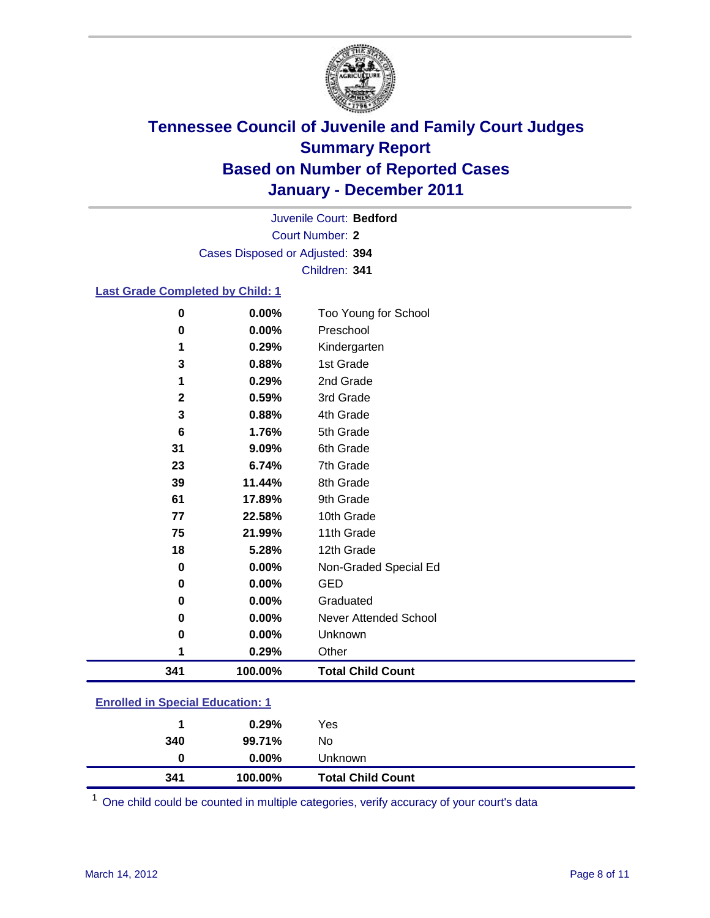

Court Number: **2** Juvenile Court: **Bedford** Cases Disposed or Adjusted: **394** Children: **341**

#### **Last Grade Completed by Child: 1**

| $\bf{0}$                                | 0.00%   | Too Young for School         |  |
|-----------------------------------------|---------|------------------------------|--|
| $\bf{0}$                                | 0.00%   | Preschool                    |  |
| 1                                       | 0.29%   | Kindergarten                 |  |
| 3                                       | 0.88%   | 1st Grade                    |  |
| 1                                       | 0.29%   | 2nd Grade                    |  |
| 2                                       | 0.59%   | 3rd Grade                    |  |
| 3                                       | 0.88%   | 4th Grade                    |  |
| 6                                       | 1.76%   | 5th Grade                    |  |
| 31                                      | 9.09%   | 6th Grade                    |  |
| 23                                      | 6.74%   | 7th Grade                    |  |
| 39                                      | 11.44%  | 8th Grade                    |  |
| 61                                      | 17.89%  | 9th Grade                    |  |
| 77                                      | 22.58%  | 10th Grade                   |  |
| 75                                      | 21.99%  | 11th Grade                   |  |
| 18                                      | 5.28%   | 12th Grade                   |  |
| 0                                       | 0.00%   | Non-Graded Special Ed        |  |
| 0                                       | 0.00%   | <b>GED</b>                   |  |
| 0                                       | 0.00%   | Graduated                    |  |
| 0                                       | 0.00%   | <b>Never Attended School</b> |  |
| 0                                       | 0.00%   | Unknown                      |  |
| 1                                       | 0.29%   | Other                        |  |
| 341                                     | 100.00% | <b>Total Child Count</b>     |  |
| <b>Enrolled in Special Education: 1</b> |         |                              |  |

| 341                                       | 100.00%  | <b>Total Child Count</b> |  |  |
|-------------------------------------------|----------|--------------------------|--|--|
| 0                                         | $0.00\%$ | Unknown                  |  |  |
| 340                                       | 99.71%   | No                       |  |  |
|                                           | 0.29%    | Yes                      |  |  |
| <u>Lillolled III opecial Luucation. T</u> |          |                          |  |  |

One child could be counted in multiple categories, verify accuracy of your court's data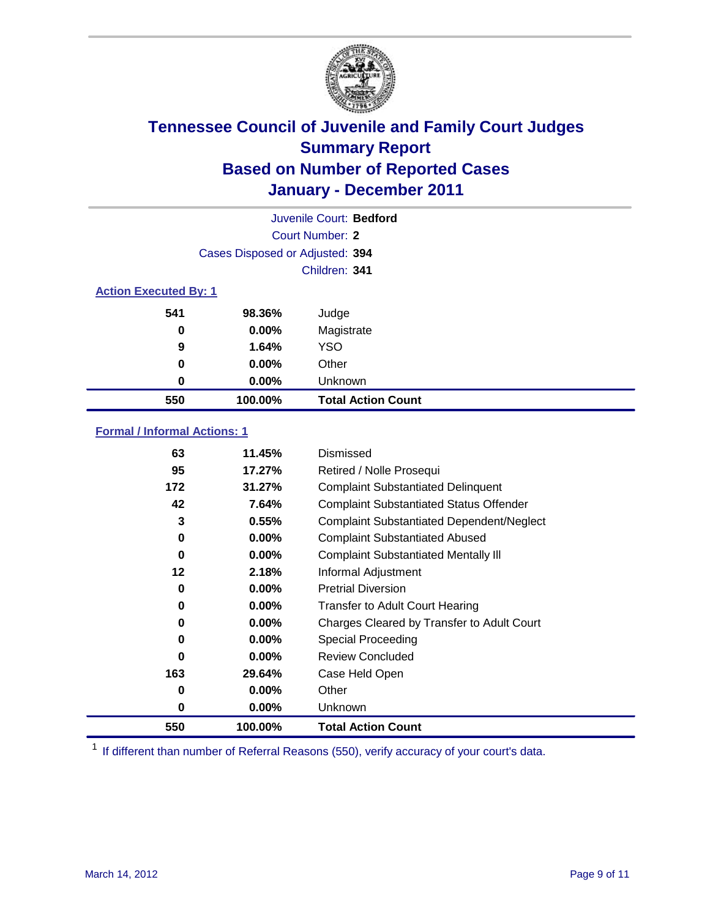

|                              | Juvenile Court: Bedford         |                           |  |  |
|------------------------------|---------------------------------|---------------------------|--|--|
| Court Number: 2              |                                 |                           |  |  |
|                              | Cases Disposed or Adjusted: 394 |                           |  |  |
|                              | Children: 341                   |                           |  |  |
| <b>Action Executed By: 1</b> |                                 |                           |  |  |
| 541                          | 98.36%                          | Judge                     |  |  |
| 0                            | $0.00\%$                        | Magistrate                |  |  |
| 9                            | 1.64%                           | <b>YSO</b>                |  |  |
| 0                            | $0.00\%$                        | Other                     |  |  |
| 0                            | 0.00%                           | Unknown                   |  |  |
| 550                          | 100.00%                         | <b>Total Action Count</b> |  |  |

### **Formal / Informal Actions: 1**

| 63  | 11.45%   | Dismissed                                        |
|-----|----------|--------------------------------------------------|
| 95  | 17.27%   | Retired / Nolle Prosequi                         |
| 172 | 31.27%   | <b>Complaint Substantiated Delinquent</b>        |
| 42  | 7.64%    | <b>Complaint Substantiated Status Offender</b>   |
| 3   | 0.55%    | <b>Complaint Substantiated Dependent/Neglect</b> |
| 0   | $0.00\%$ | <b>Complaint Substantiated Abused</b>            |
| 0   | $0.00\%$ | <b>Complaint Substantiated Mentally III</b>      |
| 12  | 2.18%    | Informal Adjustment                              |
| 0   | $0.00\%$ | <b>Pretrial Diversion</b>                        |
| 0   | $0.00\%$ | <b>Transfer to Adult Court Hearing</b>           |
| 0   | $0.00\%$ | Charges Cleared by Transfer to Adult Court       |
| 0   | $0.00\%$ | Special Proceeding                               |
| 0   | $0.00\%$ | <b>Review Concluded</b>                          |
| 163 | 29.64%   | Case Held Open                                   |
| 0   | $0.00\%$ | Other                                            |
| 0   | $0.00\%$ | Unknown                                          |
| 550 | 100.00%  | <b>Total Action Count</b>                        |

<sup>1</sup> If different than number of Referral Reasons (550), verify accuracy of your court's data.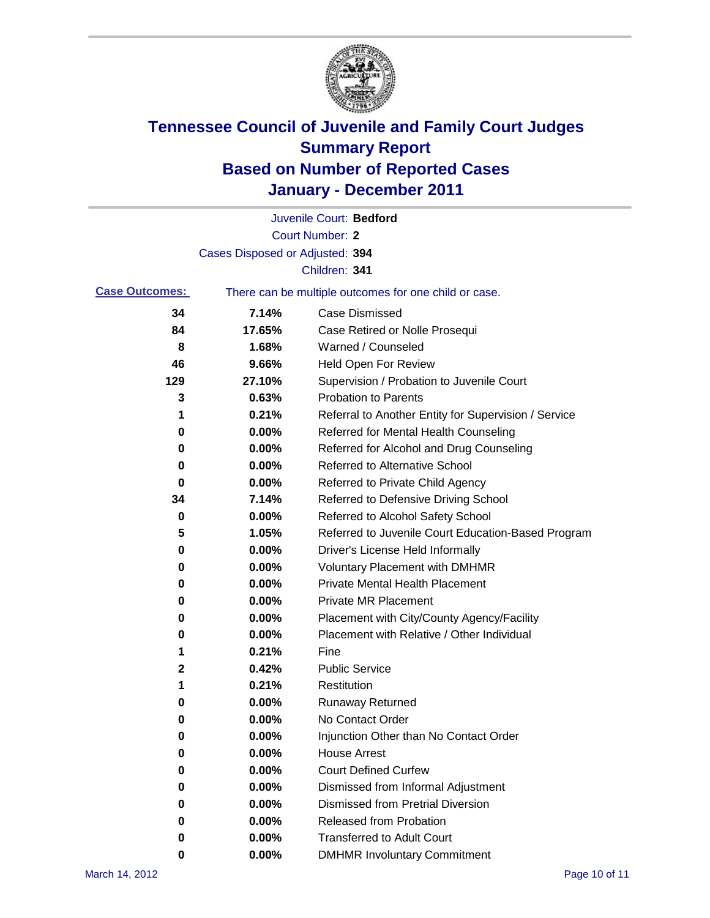

|                       |                                 | Juvenile Court: Bedford                               |
|-----------------------|---------------------------------|-------------------------------------------------------|
|                       |                                 | <b>Court Number: 2</b>                                |
|                       | Cases Disposed or Adjusted: 394 |                                                       |
|                       |                                 | Children: 341                                         |
| <b>Case Outcomes:</b> |                                 | There can be multiple outcomes for one child or case. |
| 34                    | 7.14%                           | <b>Case Dismissed</b>                                 |
| 84                    | 17.65%                          | Case Retired or Nolle Prosequi                        |
| 8                     | 1.68%                           | Warned / Counseled                                    |
| 46                    | 9.66%                           | Held Open For Review                                  |
| 129                   | 27.10%                          | Supervision / Probation to Juvenile Court             |
| 3                     | 0.63%                           | <b>Probation to Parents</b>                           |
| 1                     | 0.21%                           | Referral to Another Entity for Supervision / Service  |
| 0                     | 0.00%                           | Referred for Mental Health Counseling                 |
| 0                     | 0.00%                           | Referred for Alcohol and Drug Counseling              |
| 0                     | 0.00%                           | <b>Referred to Alternative School</b>                 |
| 0                     | 0.00%                           | Referred to Private Child Agency                      |
| 34                    | 7.14%                           | Referred to Defensive Driving School                  |
| 0                     | 0.00%                           | Referred to Alcohol Safety School                     |
| 5                     | 1.05%                           | Referred to Juvenile Court Education-Based Program    |
| 0                     | 0.00%                           | Driver's License Held Informally                      |
| 0                     | 0.00%                           | <b>Voluntary Placement with DMHMR</b>                 |
| 0                     | 0.00%                           | Private Mental Health Placement                       |
| 0                     | 0.00%                           | <b>Private MR Placement</b>                           |
| 0                     | 0.00%                           | Placement with City/County Agency/Facility            |
| 0                     | 0.00%                           | Placement with Relative / Other Individual            |
| 1                     | 0.21%                           | Fine                                                  |
| 2                     | 0.42%                           | <b>Public Service</b>                                 |
| 1                     | 0.21%                           | Restitution                                           |
| 0                     | 0.00%                           | <b>Runaway Returned</b>                               |
| 0                     | 0.00%                           | No Contact Order                                      |
| 0                     | 0.00%                           | Injunction Other than No Contact Order                |
| 0                     | 0.00%                           | <b>House Arrest</b>                                   |
| 0                     | $0.00\%$                        | <b>Court Defined Curfew</b>                           |
| 0                     | $0.00\%$                        | Dismissed from Informal Adjustment                    |
| 0                     | $0.00\%$                        | <b>Dismissed from Pretrial Diversion</b>              |
| 0                     | 0.00%                           | Released from Probation                               |
| 0                     | 0.00%                           | <b>Transferred to Adult Court</b>                     |
| 0                     | 0.00%                           | <b>DMHMR Involuntary Commitment</b>                   |